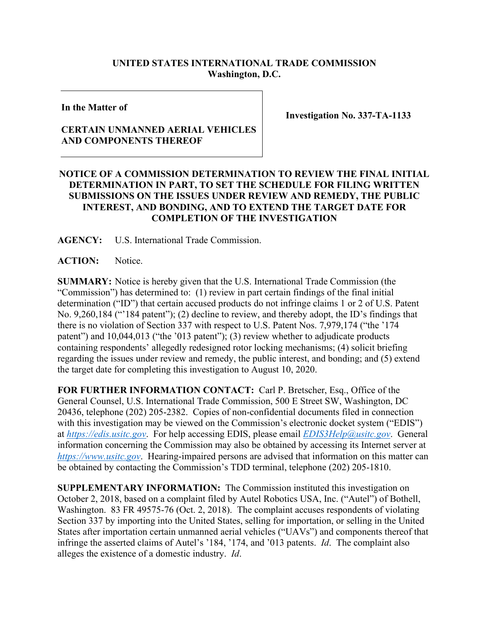## **UNITED STATES INTERNATIONAL TRADE COMMISSION Washington, D.C.**

**In the Matter of**

## **CERTAIN UNMANNED AERIAL VEHICLES AND COMPONENTS THEREOF**

**Investigation No. 337-TA-1133**

## **NOTICE OF A COMMISSION DETERMINATION TO REVIEW THE FINAL INITIAL DETERMINATION IN PART, TO SET THE SCHEDULE FOR FILING WRITTEN SUBMISSIONS ON THE ISSUES UNDER REVIEW AND REMEDY, THE PUBLIC INTEREST, AND BONDING, AND TO EXTEND THE TARGET DATE FOR COMPLETION OF THE INVESTIGATION**

**AGENCY:** U.S. International Trade Commission.

**ACTION:** Notice.

**SUMMARY:** Notice is hereby given that the U.S. International Trade Commission (the "Commission") has determined to: (1) review in part certain findings of the final initial determination ("ID") that certain accused products do not infringe claims 1 or 2 of U.S. Patent No. 9,260,184 ("'184 patent"); (2) decline to review, and thereby adopt, the ID's findings that there is no violation of Section 337 with respect to U.S. Patent Nos. 7,979,174 ("the '174 patent") and 10,044,013 ("the '013 patent"); (3) review whether to adjudicate products containing respondents' allegedly redesigned rotor locking mechanisms; (4) solicit briefing regarding the issues under review and remedy, the public interest, and bonding; and (5) extend the target date for completing this investigation to August 10, 2020.

**FOR FURTHER INFORMATION CONTACT:** Carl P. Bretscher, Esq., Office of the General Counsel, U.S. International Trade Commission, 500 E Street SW, Washington, DC 20436, telephone (202) 205-2382. Copies of non-confidential documents filed in connection with this investigation may be viewed on the Commission's electronic docket system ("EDIS") at *[https://edis.usitc.gov](https://edis.usitc.gov/)*. For help accessing EDIS, please email *[EDIS3Help@usitc.gov](mailto:EDIS3Help@usitc.gov)*. General information concerning the Commission may also be obtained by accessing its Internet server at *[https://www.usitc.gov](https://www.usitc.gov/)*. Hearing-impaired persons are advised that information on this matter can be obtained by contacting the Commission's TDD terminal, telephone (202) 205-1810.

**SUPPLEMENTARY INFORMATION:** The Commission instituted this investigation on October 2, 2018, based on a complaint filed by Autel Robotics USA, Inc. ("Autel") of Bothell, Washington. 83 FR 49575-76 (Oct. 2, 2018). The complaint accuses respondents of violating Section 337 by importing into the United States, selling for importation, or selling in the United States after importation certain unmanned aerial vehicles ("UAVs") and components thereof that infringe the asserted claims of Autel's '184, '174, and '013 patents. *Id*. The complaint also alleges the existence of a domestic industry. *Id*.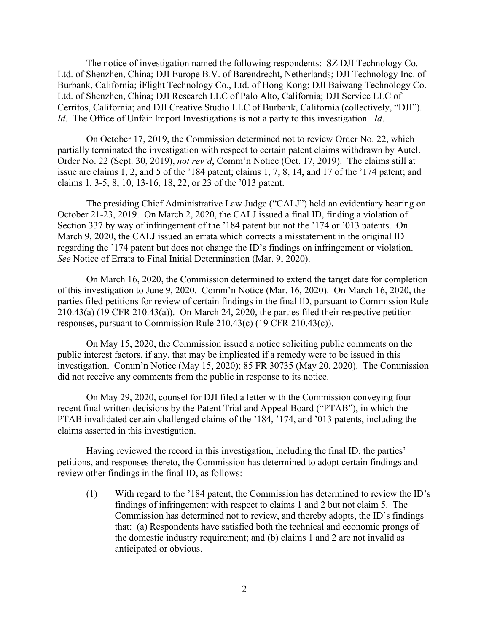The notice of investigation named the following respondents: SZ DJI Technology Co. Ltd. of Shenzhen, China; DJI Europe B.V. of Barendrecht, Netherlands; DJI Technology Inc. of Burbank, California; iFlight Technology Co., Ltd. of Hong Kong; DJI Baiwang Technology Co. Ltd. of Shenzhen, China; DJI Research LLC of Palo Alto, California; DJI Service LLC of Cerritos, California; and DJI Creative Studio LLC of Burbank, California (collectively, "DJI"). *Id*. The Office of Unfair Import Investigations is not a party to this investigation. *Id*.

On October 17, 2019, the Commission determined not to review Order No. 22, which partially terminated the investigation with respect to certain patent claims withdrawn by Autel. Order No. 22 (Sept. 30, 2019), *not rev'd*, Comm'n Notice (Oct. 17, 2019). The claims still at issue are claims 1, 2, and 5 of the '184 patent; claims 1, 7, 8, 14, and 17 of the '174 patent; and claims 1, 3-5, 8, 10, 13-16, 18, 22, or 23 of the '013 patent.

The presiding Chief Administrative Law Judge ("CALJ") held an evidentiary hearing on October 21-23, 2019. On March 2, 2020, the CALJ issued a final ID, finding a violation of Section 337 by way of infringement of the '184 patent but not the '174 or '013 patents. On March 9, 2020, the CALJ issued an errata which corrects a misstatement in the original ID regarding the '174 patent but does not change the ID's findings on infringement or violation. *See* Notice of Errata to Final Initial Determination (Mar. 9, 2020).

On March 16, 2020, the Commission determined to extend the target date for completion of this investigation to June 9, 2020. Comm'n Notice (Mar. 16, 2020). On March 16, 2020, the parties filed petitions for review of certain findings in the final ID, pursuant to Commission Rule 210.43(a) (19 CFR 210.43(a)). On March 24, 2020, the parties filed their respective petition responses, pursuant to Commission Rule 210.43(c) (19 CFR 210.43(c)).

On May 15, 2020, the Commission issued a notice soliciting public comments on the public interest factors, if any, that may be implicated if a remedy were to be issued in this investigation. Comm'n Notice (May 15, 2020); 85 FR 30735 (May 20, 2020). The Commission did not receive any comments from the public in response to its notice.

On May 29, 2020, counsel for DJI filed a letter with the Commission conveying four recent final written decisions by the Patent Trial and Appeal Board ("PTAB"), in which the PTAB invalidated certain challenged claims of the '184, '174, and '013 patents, including the claims asserted in this investigation.

Having reviewed the record in this investigation, including the final ID, the parties' petitions, and responses thereto, the Commission has determined to adopt certain findings and review other findings in the final ID, as follows:

(1) With regard to the '184 patent, the Commission has determined to review the ID's findings of infringement with respect to claims 1 and 2 but not claim 5. The Commission has determined not to review, and thereby adopts, the ID's findings that: (a) Respondents have satisfied both the technical and economic prongs of the domestic industry requirement; and (b) claims 1 and 2 are not invalid as anticipated or obvious.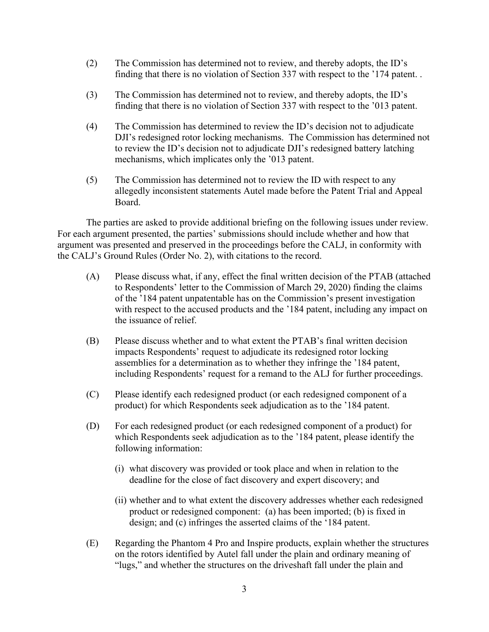- (2) The Commission has determined not to review, and thereby adopts, the ID's finding that there is no violation of Section 337 with respect to the '174 patent. .
- (3) The Commission has determined not to review, and thereby adopts, the ID's finding that there is no violation of Section 337 with respect to the '013 patent.
- (4) The Commission has determined to review the ID's decision not to adjudicate DJI's redesigned rotor locking mechanisms. The Commission has determined not to review the ID's decision not to adjudicate DJI's redesigned battery latching mechanisms, which implicates only the '013 patent.
- (5) The Commission has determined not to review the ID with respect to any allegedly inconsistent statements Autel made before the Patent Trial and Appeal Board.

The parties are asked to provide additional briefing on the following issues under review. For each argument presented, the parties' submissions should include whether and how that argument was presented and preserved in the proceedings before the CALJ, in conformity with the CALJ's Ground Rules (Order No. 2), with citations to the record.

- (A) Please discuss what, if any, effect the final written decision of the PTAB (attached to Respondents' letter to the Commission of March 29, 2020) finding the claims of the '184 patent unpatentable has on the Commission's present investigation with respect to the accused products and the '184 patent, including any impact on the issuance of relief.
- (B) Please discuss whether and to what extent the PTAB's final written decision impacts Respondents' request to adjudicate its redesigned rotor locking assemblies for a determination as to whether they infringe the '184 patent, including Respondents' request for a remand to the ALJ for further proceedings.
- (C) Please identify each redesigned product (or each redesigned component of a product) for which Respondents seek adjudication as to the '184 patent.
- (D) For each redesigned product (or each redesigned component of a product) for which Respondents seek adjudication as to the '184 patent, please identify the following information:
	- (i) what discovery was provided or took place and when in relation to the deadline for the close of fact discovery and expert discovery; and
	- (ii) whether and to what extent the discovery addresses whether each redesigned product or redesigned component: (a) has been imported; (b) is fixed in design; and (c) infringes the asserted claims of the '184 patent.
- (E) Regarding the Phantom 4 Pro and Inspire products, explain whether the structures on the rotors identified by Autel fall under the plain and ordinary meaning of "lugs," and whether the structures on the driveshaft fall under the plain and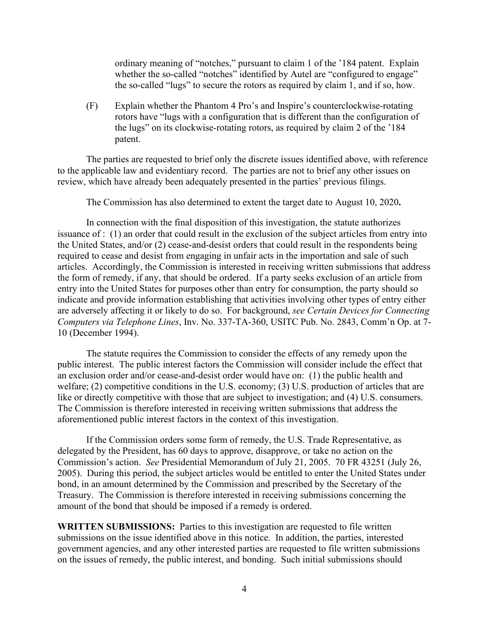ordinary meaning of "notches," pursuant to claim 1 of the '184 patent. Explain whether the so-called "notches" identified by Autel are "configured to engage" the so-called "lugs" to secure the rotors as required by claim 1, and if so, how.

(F) Explain whether the Phantom 4 Pro's and Inspire's counterclockwise-rotating rotors have "lugs with a configuration that is different than the configuration of the lugs" on its clockwise-rotating rotors, as required by claim 2 of the '184 patent.

The parties are requested to brief only the discrete issues identified above, with reference to the applicable law and evidentiary record. The parties are not to brief any other issues on review, which have already been adequately presented in the parties' previous filings.

The Commission has also determined to extent the target date to August 10, 2020**.**

In connection with the final disposition of this investigation, the statute authorizes issuance of : (1) an order that could result in the exclusion of the subject articles from entry into the United States, and/or (2) cease-and-desist orders that could result in the respondents being required to cease and desist from engaging in unfair acts in the importation and sale of such articles. Accordingly, the Commission is interested in receiving written submissions that address the form of remedy, if any, that should be ordered. If a party seeks exclusion of an article from entry into the United States for purposes other than entry for consumption, the party should so indicate and provide information establishing that activities involving other types of entry either are adversely affecting it or likely to do so. For background, *see Certain Devices for Connecting Computers via Telephone Lines*, Inv. No. 337-TA-360, USITC Pub. No. 2843, Comm'n Op. at 7- 10 (December 1994).

The statute requires the Commission to consider the effects of any remedy upon the public interest. The public interest factors the Commission will consider include the effect that an exclusion order and/or cease-and-desist order would have on: (1) the public health and welfare; (2) competitive conditions in the U.S. economy; (3) U.S. production of articles that are like or directly competitive with those that are subject to investigation; and (4) U.S. consumers. The Commission is therefore interested in receiving written submissions that address the aforementioned public interest factors in the context of this investigation.

If the Commission orders some form of remedy, the U.S. Trade Representative, as delegated by the President, has 60 days to approve, disapprove, or take no action on the Commission's action. *See* Presidential Memorandum of July 21, 2005. 70 FR 43251 (July 26, 2005). During this period, the subject articles would be entitled to enter the United States under bond, in an amount determined by the Commission and prescribed by the Secretary of the Treasury. The Commission is therefore interested in receiving submissions concerning the amount of the bond that should be imposed if a remedy is ordered.

**WRITTEN SUBMISSIONS:** Parties to this investigation are requested to file written submissions on the issue identified above in this notice. In addition, the parties, interested government agencies, and any other interested parties are requested to file written submissions on the issues of remedy, the public interest, and bonding. Such initial submissions should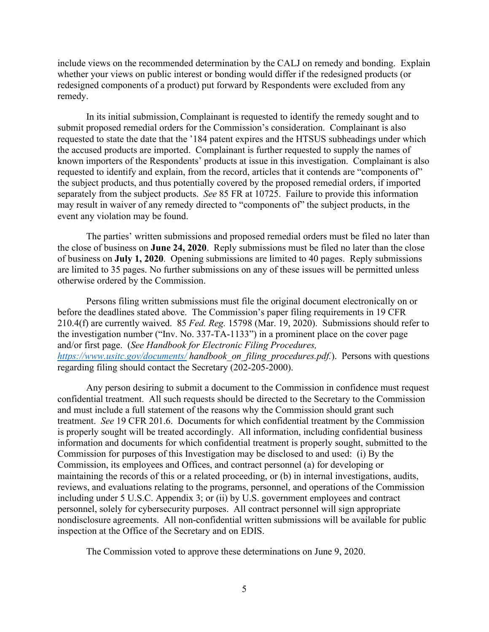include views on the recommended determination by the CALJ on remedy and bonding. Explain whether your views on public interest or bonding would differ if the redesigned products (or redesigned components of a product) put forward by Respondents were excluded from any remedy.

In its initial submission, Complainant is requested to identify the remedy sought and to submit proposed remedial orders for the Commission's consideration. Complainant is also requested to state the date that the '184 patent expires and the HTSUS subheadings under which the accused products are imported. Complainant is further requested to supply the names of known importers of the Respondents' products at issue in this investigation. Complainant is also requested to identify and explain, from the record, articles that it contends are "components of" the subject products, and thus potentially covered by the proposed remedial orders, if imported separately from the subject products. *See* 85 FR at 10725. Failure to provide this information may result in waiver of any remedy directed to "components of" the subject products, in the event any violation may be found.

The parties' written submissions and proposed remedial orders must be filed no later than the close of business on **June 24, 2020**. Reply submissions must be filed no later than the close of business on **July 1, 2020**. Opening submissions are limited to 40 pages. Reply submissions are limited to 35 pages. No further submissions on any of these issues will be permitted unless otherwise ordered by the Commission.

Persons filing written submissions must file the original document electronically on or before the deadlines stated above. The Commission's paper filing requirements in 19 CFR 210.4(f) are currently waived. 85 *Fed. Reg.* 15798 (Mar. 19, 2020). Submissions should refer to the investigation number ("Inv. No. 337-TA-1133") in a prominent place on the cover page and/or first page. (*See Handbook for Electronic Filing Procedures, <https://www.usitc.gov/documents/> handbook\_on\_filing\_procedures.pdf.*). Persons with questions regarding filing should contact the Secretary (202-205-2000).

Any person desiring to submit a document to the Commission in confidence must request confidential treatment. All such requests should be directed to the Secretary to the Commission and must include a full statement of the reasons why the Commission should grant such treatment. *See* 19 CFR 201.6. Documents for which confidential treatment by the Commission is properly sought will be treated accordingly. All information, including confidential business information and documents for which confidential treatment is properly sought, submitted to the Commission for purposes of this Investigation may be disclosed to and used: (i) By the Commission, its employees and Offices, and contract personnel (a) for developing or maintaining the records of this or a related proceeding, or (b) in internal investigations, audits, reviews, and evaluations relating to the programs, personnel, and operations of the Commission including under 5 U.S.C. Appendix 3; or (ii) by U.S. government employees and contract personnel, solely for cybersecurity purposes. All contract personnel will sign appropriate nondisclosure agreements. All non-confidential written submissions will be available for public inspection at the Office of the Secretary and on EDIS.

The Commission voted to approve these determinations on June 9, 2020.